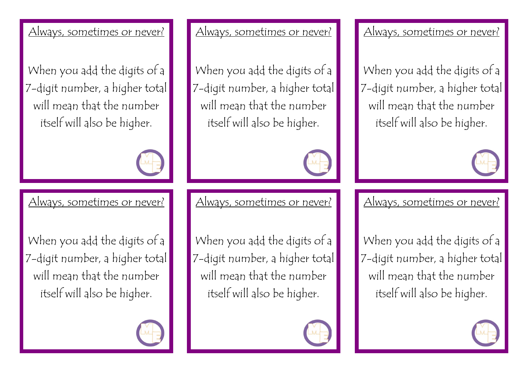## Always, sometimes or never?

When you add the digits of a 7-digit number, a higher total will mean that the number itself will also be higher.



Always, sometimes or never?

When you add the digits of a 7-digit number, a higher total will mean that the number itself will also be higher.

Always, sometimes or never?

When you add the digits of a 7-digit number, a higher total will mean that the number itself will also be higher.



Always, sometimes or never?

When you add the digits of a 7-digit number, a higher total will mean that the number itself will also be higher.



Always, sometimes or never?

When you add the digits of a 7-digit number, a higher total will mean that the number itself will also be higher.



Always, sometimes or never?

When you add the digits of a 7-digit number, a higher total will mean that the number itself will also be higher.